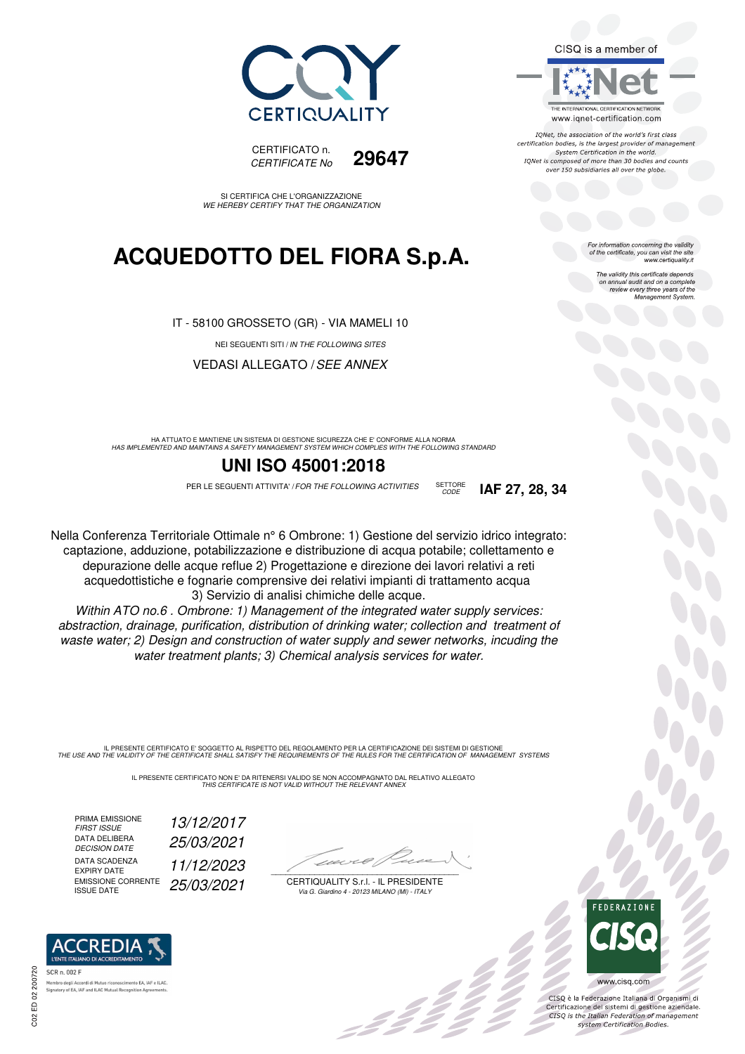



IONet, the association of the world's first class certification bodies, is the largest provider of management System Certification in the world. IQNet is composed of more than 30 bodies and counts over 150 subsidiaries all over the globe.

For information concerning the validity<br>of the certificate, you can visit the site<br>www.certiquality.it

The validity this certificate depends on annual audit and on a complete review every three years of the Management System.



CERTIFICATO n. *CERTIFICATE No* **29647**

SI CERTIFICA CHE L'ORGANIZZAZIONE *WE HEREBY CERTIFY THAT THE ORGANIZATION*

## **ACQUEDOTTO DEL FIORA S.p.A.**

IT - 58100 GROSSETO (GR) - VIA MAMELI 10

NEI SEGUENTI SITI / *IN THE FOLLOWING SITES*

VEDASI ALLEGATO /*SEE ANNEX*

HA ATTUATO E MANTIENE UN SISTEMA DI GESTIONE SICUREZZA CHE E' CONFORME ALLA NORMA<br>HAS IMPLEMENTED AND MAINTAINS A SAFETY MANAGEMENT SYSTEM WHICH COMPLIES WITH THE FOLLOWING STANDARD

### **UNI ISO 45001:2018**

PER LE SEGUENTI ATTIVITA' *I FOR THE FOLLOWING ACTIVITIES* SETTORE **IAF 27, 28, 34** 

SETTORE<br>CODE

Nella Conferenza Territoriale Ottimale n° 6 Ombrone: 1) Gestione del servizio idrico integrato: captazione, adduzione, potabilizzazione e distribuzione di acqua potabile; collettamento e depurazione delle acque reflue 2) Progettazione e direzione dei lavori relativi a reti acquedottistiche e fognarie comprensive dei relativi impianti di trattamento acqua 3) Servizio di analisi chimiche delle acque.

*Within ATO no.6 . Ombrone: 1) Management of the integrated water supply services: abstraction, drainage, purification, distribution of drinking water; collection and treatment of waste water; 2) Design and construction of water supply and sewer networks, incuding the water treatment plants; 3) Chemical analysis services for water.*

IL PRESENTE CERTIFICATO E' SOGGETTO AL RISPETTO DEL REGOLAMENTO PER LA CERTIFICAZIONE DEI SISTEMI DI GESTIONE<br>THE USE AND THE VALIDITY OF THE CERTIFICATE SHALL SATISFY THE REQUIREMENTS OF THE RULES FOR THE CERTIFICATION OF

IL PRESENTE CERTIFICATO NON E' DA RITENERSI VALIDO SE NON ACCOMPAGNATO DAL RELATIVO ALLEGATO *THIS CERTIFICATE IS NOT VALID WITHOUT THE RELEVANT ANNEX*

PRIMA EMISSIONE<br>FIRST ISSUE DATA DELIBERA *DECISION DATE 25/03/2021* DATA SCADENZA<br>EXPIRY DATE EMISSIONE CORRENTE EMISSIONE CORRENTE<sup>25/03</sup>/2021

*FIRST ISSUE 13/12/2017* EXPIRY DATE *11/12/2023*

 $\overline{\phantom{a}}$ 

CERTIQUALITY S.r.l. - IL PRESIDENTE *Via G. Giardino 4 - 20123 MILANO (MI) - ITALY*

BI C



 $\frac{1}{2}$ 

www.cisq.com CISQ è la Federazione Italiana di Organismi di

Certificazione dei sistemi di gestione aziendale.<br>CISQ is the Italian Federation of management system Certification Bodies.



nto EA. IAF e ILAC atory of EA, IAF and ILAC Mutual Recog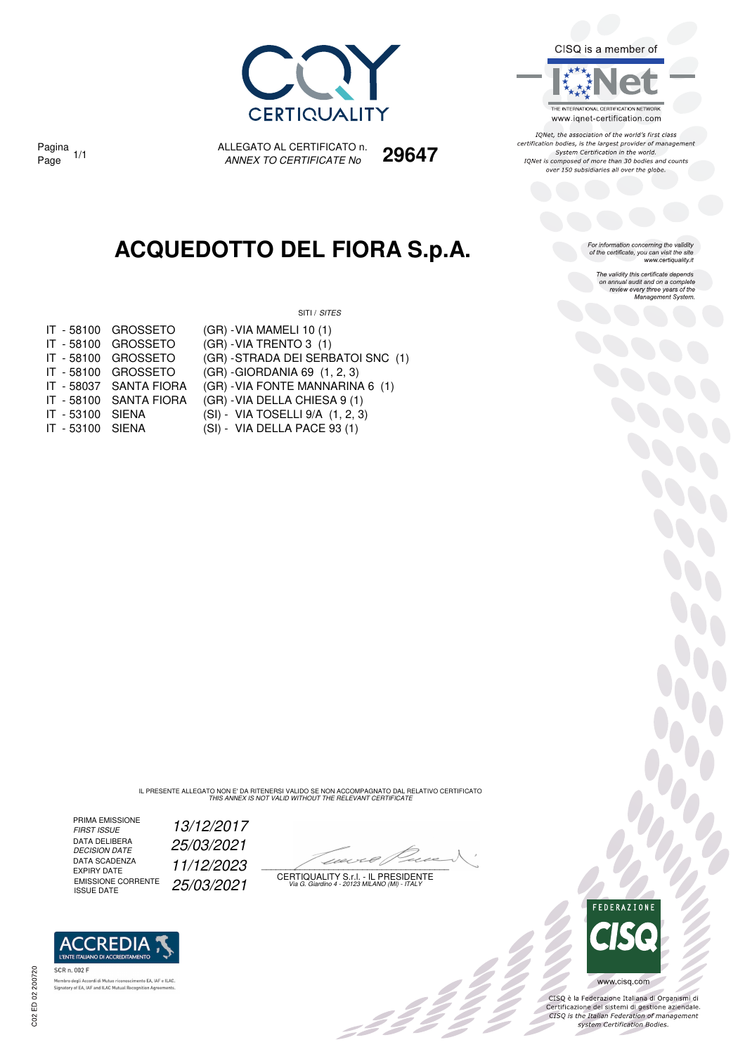

CISQ is a member of

THE INTERNATIONAL CERTIFICATION NETWORK www.iqnet-certification.com

IONet, the association of the world's first class certification bodies, is the largest provider of management System Certification in the world. IQNet is composed of more than 30 bodies and counts over 150 subsidiaries all over the globe.

For information concerning the validity<br>of the certificate, you can visit the site<br>www.certiquality.it

The validity this certificate depends on annual audit and on a complete review every three years of the<br>Management System.

*ANNEX TO CERTIFICATE No* Page 1/1 **29647** Pagina 1/1

## **ACQUEDOTTO DEL FIORA S.p.A.**

ALLEGATO AL CERTIFICATO n.

SITI / *SITES*

| IT - 58100 | <b>GROSSETO</b>    |  |
|------------|--------------------|--|
| IT - 58100 | <b>GROSSETO</b>    |  |
| IT - 58100 | <b>GROSSETO</b>    |  |
| IT - 58100 | <b>GROSSETO</b>    |  |
| IT - 58037 | <b>SANTA FIORA</b> |  |
| IT - 58100 | <b>SANTA FIORA</b> |  |
| IT - 53100 | <b>SIENA</b>       |  |
| IT - 53100 | SIENA              |  |

(GR) - VIA MAMELI 10 (1) (GR) - VIA TRENTO 3 (1) (GR) - STRADA DEI SERBATOI SNC (1)

(GR) - GIORDANIA 69 (1, 2, 3)

- (GR) VIA FONTE MANNARINA 6 (1)
- (GR) VIA DELLA CHIESA 9 (1)
- (SI) VIA TOSELLI 9/A (1, 2, 3)
- 53100 SIENA (SI) VIA DELLA PACE 93 (1)

IL PRESENTE ALLEGATO NON E' DA RITENERSI VALIDO SE NON ACCOMPAGNATO DAL RELATIVO CERTIFICATO *THIS ANNEX IS NOT VALID WITHOUT THE RELEVANT CERTIFICATE*

PRIMA EMISSIONE<br>FIRST ISSUE DATA DELIBERA<br>DECISION DATE DATA SCADENZA<br>EXPIRY DATE DATA SCADENZA<br>EXPIRY DATE **11/12/2023**<br>EMISSIONE CORRENTE **25/02/2021** 

**ACCREDIA** L'ENTE ITALIANO DI ACCREDITAMENTO

nento EA, IAF e ILAC

*FIRST ISSUE 13/12/2017 DECISION DATE 25/03/2021*

22

CERTIQUALITY S.r.l. - IL PRESIDENTE EMISSIONE CORRENTE ISSUE DATE *25/03/2021 Via G. Giardino 4 - 20123 MILANO (MI) - ITALY*



CISQ è la Federazione Italiana di Organismi di Certificazione dei sistemi di gestione aziendale.<br>CISQ is the Italian Federation of management system Certification Bodies.